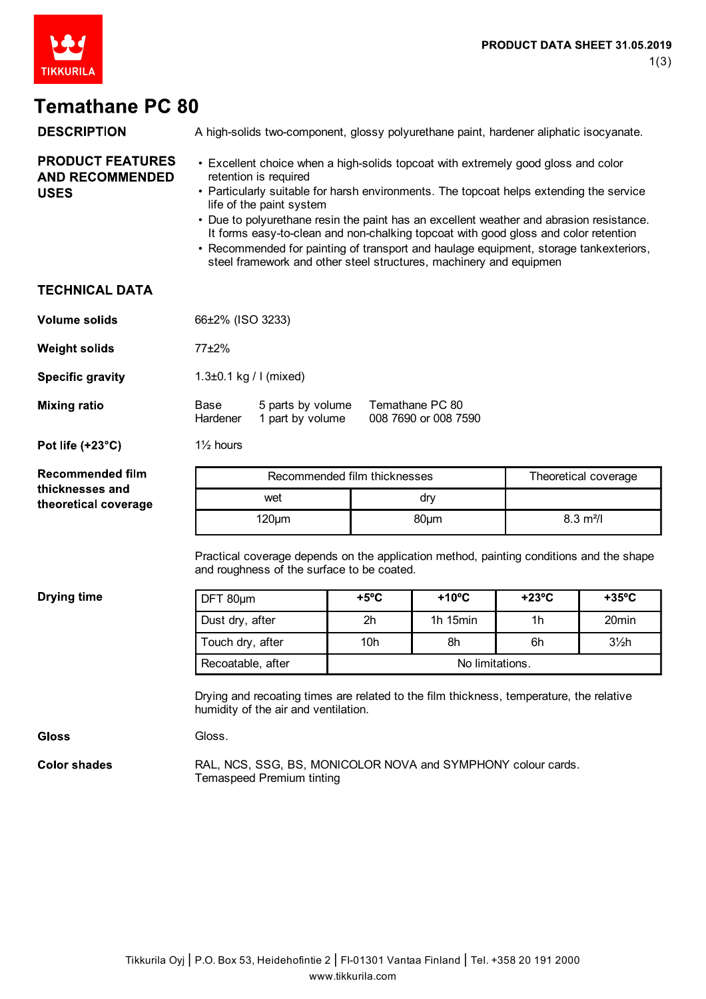

## **Temathane PC 80**

| <b>DESCRIPTION</b>                                                 | A high-solids two-component, glossy polyurethane paint, hardener aliphatic isocyanate.                                                                                                                                                                                                                                                                                                                                                                                                                                                                                             |                                                                                           |                       |                      |                      |                 |  |
|--------------------------------------------------------------------|------------------------------------------------------------------------------------------------------------------------------------------------------------------------------------------------------------------------------------------------------------------------------------------------------------------------------------------------------------------------------------------------------------------------------------------------------------------------------------------------------------------------------------------------------------------------------------|-------------------------------------------------------------------------------------------|-----------------------|----------------------|----------------------|-----------------|--|
| <b>PRODUCT FEATURES</b><br><b>AND RECOMMENDED</b><br><b>USES</b>   | • Excellent choice when a high-solids topcoat with extremely good gloss and color<br>retention is required<br>• Particularly suitable for harsh environments. The topcoat helps extending the service<br>life of the paint system<br>• Due to polyurethane resin the paint has an excellent weather and abrasion resistance.<br>It forms easy-to-clean and non-chalking topcoat with good gloss and color retention<br>• Recommended for painting of transport and haulage equipment, storage tankexteriors,<br>steel framework and other steel structures, machinery and equipmen |                                                                                           |                       |                      |                      |                 |  |
| <b>TECHNICAL DATA</b>                                              |                                                                                                                                                                                                                                                                                                                                                                                                                                                                                                                                                                                    |                                                                                           |                       |                      |                      |                 |  |
| <b>Volume solids</b>                                               | 66±2% (ISO 3233)                                                                                                                                                                                                                                                                                                                                                                                                                                                                                                                                                                   |                                                                                           |                       |                      |                      |                 |  |
| <b>Weight solids</b>                                               | 77±2%                                                                                                                                                                                                                                                                                                                                                                                                                                                                                                                                                                              |                                                                                           |                       |                      |                      |                 |  |
| <b>Specific gravity</b>                                            | 1.3 $\pm$ 0.1 kg / I (mixed)                                                                                                                                                                                                                                                                                                                                                                                                                                                                                                                                                       |                                                                                           |                       |                      |                      |                 |  |
| <b>Mixing ratio</b>                                                | Temathane PC 80<br>Base<br>5 parts by volume<br>008 7690 or 008 7590<br>1 part by volume<br>Hardener                                                                                                                                                                                                                                                                                                                                                                                                                                                                               |                                                                                           |                       |                      |                      |                 |  |
| Pot life (+23°C)                                                   | $1\frac{1}{2}$ hours                                                                                                                                                                                                                                                                                                                                                                                                                                                                                                                                                               |                                                                                           |                       |                      |                      |                 |  |
| <b>Recommended film</b><br>thicknesses and<br>theoretical coverage | Recommended film thicknesses                                                                                                                                                                                                                                                                                                                                                                                                                                                                                                                                                       |                                                                                           |                       | Theoretical coverage |                      |                 |  |
|                                                                    | wet                                                                                                                                                                                                                                                                                                                                                                                                                                                                                                                                                                                |                                                                                           | dry                   |                      |                      |                 |  |
|                                                                    | $120 \mu m$                                                                                                                                                                                                                                                                                                                                                                                                                                                                                                                                                                        |                                                                                           | 80 <sub>µ</sub> m     |                      | $8.3 \text{ m}^2$ /I |                 |  |
|                                                                    | Practical coverage depends on the application method, painting conditions and the shape<br>and roughness of the surface to be coated.                                                                                                                                                                                                                                                                                                                                                                                                                                              |                                                                                           |                       |                      |                      |                 |  |
| <b>Drying time</b>                                                 | DFT 80um                                                                                                                                                                                                                                                                                                                                                                                                                                                                                                                                                                           |                                                                                           | $+5^{\circ}$ C        | $+10^{\circ}$ C      | $+23^{\circ}C$       | $+35^{\circ}$ C |  |
|                                                                    | Dust dry, after                                                                                                                                                                                                                                                                                                                                                                                                                                                                                                                                                                    |                                                                                           | 2h                    | 1h 15min             | 1 <sub>h</sub>       | 20min           |  |
|                                                                    | Touch dry, after                                                                                                                                                                                                                                                                                                                                                                                                                                                                                                                                                                   |                                                                                           | 10 <sub>h</sub><br>8h |                      | 6h                   | $3\frac{1}{2}h$ |  |
|                                                                    | Recoatable, after<br>No limitations.                                                                                                                                                                                                                                                                                                                                                                                                                                                                                                                                               |                                                                                           |                       |                      |                      |                 |  |
|                                                                    | Drying and recoating times are related to the film thickness, temperature, the relative<br>humidity of the air and ventilation.                                                                                                                                                                                                                                                                                                                                                                                                                                                    |                                                                                           |                       |                      |                      |                 |  |
| <b>Gloss</b>                                                       | Gloss.                                                                                                                                                                                                                                                                                                                                                                                                                                                                                                                                                                             |                                                                                           |                       |                      |                      |                 |  |
| <b>Color shades</b>                                                |                                                                                                                                                                                                                                                                                                                                                                                                                                                                                                                                                                                    | RAL, NCS, SSG, BS, MONICOLOR NOVA and SYMPHONY colour cards.<br>Temaspeed Premium tinting |                       |                      |                      |                 |  |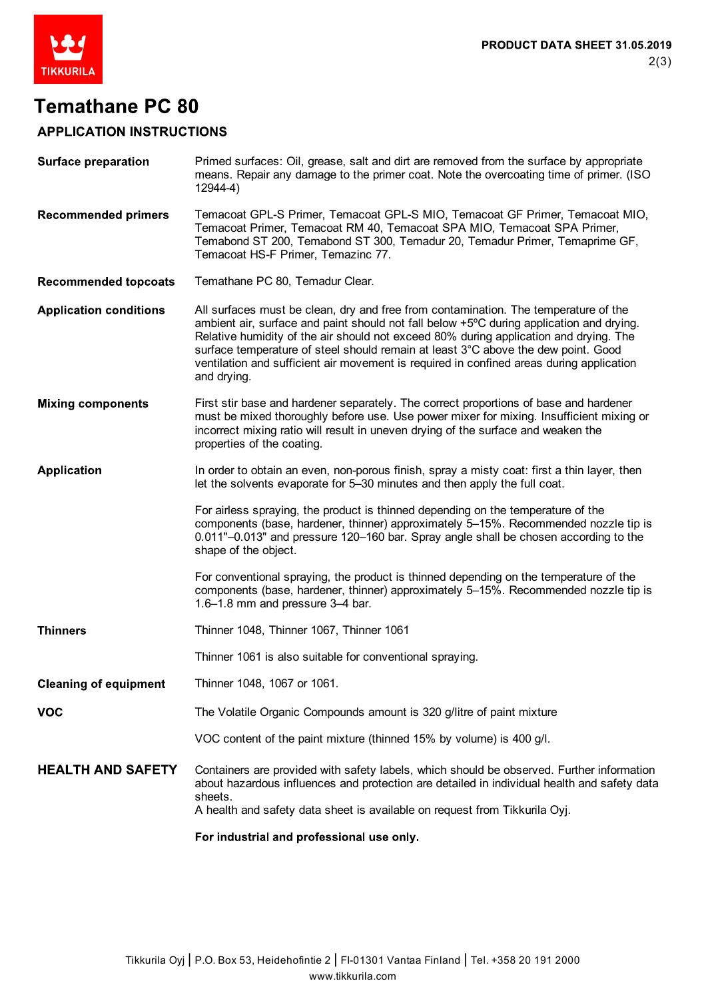

## **Temathane PC 80**

## **APPLICATION INSTRUCTIONS**

| <b>Surface preparation</b>    | Primed surfaces: Oil, grease, salt and dirt are removed from the surface by appropriate<br>means. Repair any damage to the primer coat. Note the overcoating time of primer. (ISO<br>12944-4)                                                                                                                                                                                                                                                                            |
|-------------------------------|--------------------------------------------------------------------------------------------------------------------------------------------------------------------------------------------------------------------------------------------------------------------------------------------------------------------------------------------------------------------------------------------------------------------------------------------------------------------------|
| <b>Recommended primers</b>    | Temacoat GPL-S Primer, Temacoat GPL-S MIO, Temacoat GF Primer, Temacoat MIO,<br>Temacoat Primer, Temacoat RM 40, Temacoat SPA MIO, Temacoat SPA Primer,<br>Temabond ST 200, Temabond ST 300, Temadur 20, Temadur Primer, Temaprime GF,<br>Temacoat HS-F Primer, Temazinc 77.                                                                                                                                                                                             |
| <b>Recommended topcoats</b>   | Temathane PC 80, Temadur Clear.                                                                                                                                                                                                                                                                                                                                                                                                                                          |
| <b>Application conditions</b> | All surfaces must be clean, dry and free from contamination. The temperature of the<br>ambient air, surface and paint should not fall below +5°C during application and drying.<br>Relative humidity of the air should not exceed 80% during application and drying. The<br>surface temperature of steel should remain at least 3°C above the dew point. Good<br>ventilation and sufficient air movement is required in confined areas during application<br>and drying. |
| <b>Mixing components</b>      | First stir base and hardener separately. The correct proportions of base and hardener<br>must be mixed thoroughly before use. Use power mixer for mixing. Insufficient mixing or<br>incorrect mixing ratio will result in uneven drying of the surface and weaken the<br>properties of the coating.                                                                                                                                                                      |
| <b>Application</b>            | In order to obtain an even, non-porous finish, spray a misty coat: first a thin layer, then<br>let the solvents evaporate for 5–30 minutes and then apply the full coat.                                                                                                                                                                                                                                                                                                 |
|                               | For airless spraying, the product is thinned depending on the temperature of the<br>components (base, hardener, thinner) approximately 5-15%. Recommended nozzle tip is<br>0.011"-0.013" and pressure 120-160 bar. Spray angle shall be chosen according to the<br>shape of the object.                                                                                                                                                                                  |
|                               | For conventional spraying, the product is thinned depending on the temperature of the<br>components (base, hardener, thinner) approximately 5-15%. Recommended nozzle tip is<br>1.6-1.8 mm and pressure 3-4 bar.                                                                                                                                                                                                                                                         |
| Thinners                      | Thinner 1048, Thinner 1067, Thinner 1061                                                                                                                                                                                                                                                                                                                                                                                                                                 |
|                               | Thinner 1061 is also suitable for conventional spraying.                                                                                                                                                                                                                                                                                                                                                                                                                 |
| <b>Cleaning of equipment</b>  | Thinner 1048, 1067 or 1061.                                                                                                                                                                                                                                                                                                                                                                                                                                              |
| VOC                           | The Volatile Organic Compounds amount is 320 g/litre of paint mixture                                                                                                                                                                                                                                                                                                                                                                                                    |
|                               | VOC content of the paint mixture (thinned 15% by volume) is 400 g/l.                                                                                                                                                                                                                                                                                                                                                                                                     |
| <b>HEALTH AND SAFETY</b>      | Containers are provided with safety labels, which should be observed. Further information<br>about hazardous influences and protection are detailed in individual health and safety data<br>sheets.<br>A health and safety data sheet is available on request from Tikkurila Oyj.                                                                                                                                                                                        |
|                               | For industrial and professional use only.                                                                                                                                                                                                                                                                                                                                                                                                                                |
|                               |                                                                                                                                                                                                                                                                                                                                                                                                                                                                          |